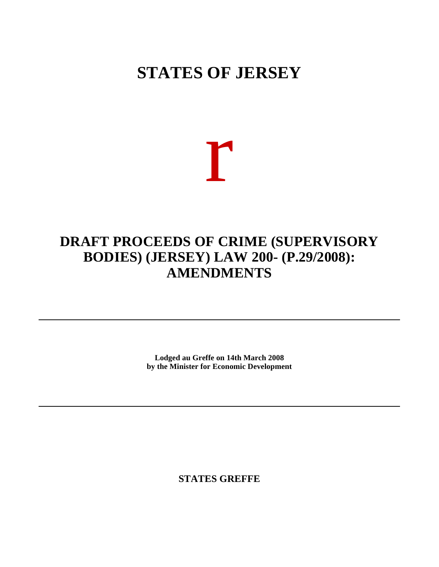## **STATES OF JERSEY**

# r

### **DRAFT PROCEEDS OF CRIME (SUPERVISORY BODIES) (JERSEY) LAW 200- (P.29/2008): AMENDMENTS**

**Lodged au Greffe on 14th March 2008 by the Minister for Economic Development**

**STATES GREFFE**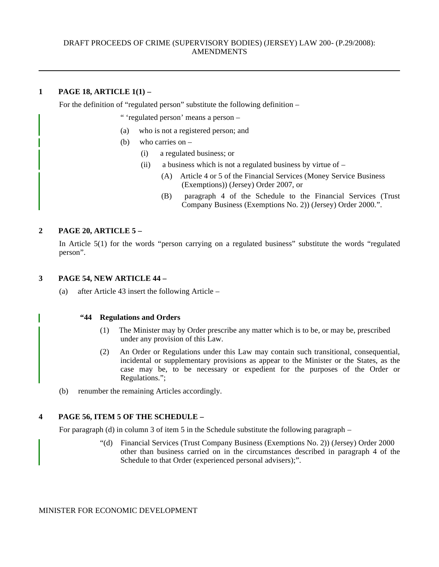#### **1 PAGE 18, ARTICLE 1(1) –**

For the definition of "regulated person" substitute the following definition –

" 'regulated person' means a person –

- (a) who is not a registered person; and
- (b) who carries on
	- (i) a regulated business; or
	- (ii) a business which is not a regulated business by virtue of  $-$ 
		- (A) Article 4 or 5 of the Financial Services (Money Service Business (Exemptions)) (Jersey) Order 2007, or
		- (B) paragraph 4 of the Schedule to the Financial Services (Trust Company Business (Exemptions No. 2)) (Jersey) Order 2000.".

#### **2 PAGE 20, ARTICLE 5 –**

In Article 5(1) for the words "person carrying on a regulated business" substitute the words "regulated person".

#### **3 PAGE 54, NEW ARTICLE 44 –**

(a) after Article 43 insert the following Article –

#### **"44 Regulations and Orders**

- (1) The Minister may by Order prescribe any matter which is to be, or may be, prescribed under any provision of this Law.
- (2) An Order or Regulations under this Law may contain such transitional, consequential, incidental or supplementary provisions as appear to the Minister or the States, as the case may be, to be necessary or expedient for the purposes of the Order or Regulations.";
- (b) renumber the remaining Articles accordingly.

#### **4 PAGE 56, ITEM 5 OF THE SCHEDULE –**

For paragraph (d) in column 3 of item 5 in the Schedule substitute the following paragraph  $-$ 

"(d) Financial Services (Trust Company Business (Exemptions No. 2)) (Jersey) Order 2000 other than business carried on in the circumstances described in paragraph 4 of the Schedule to that Order (experienced personal advisers);".

MINISTER FOR ECONOMIC DEVELOPMENT